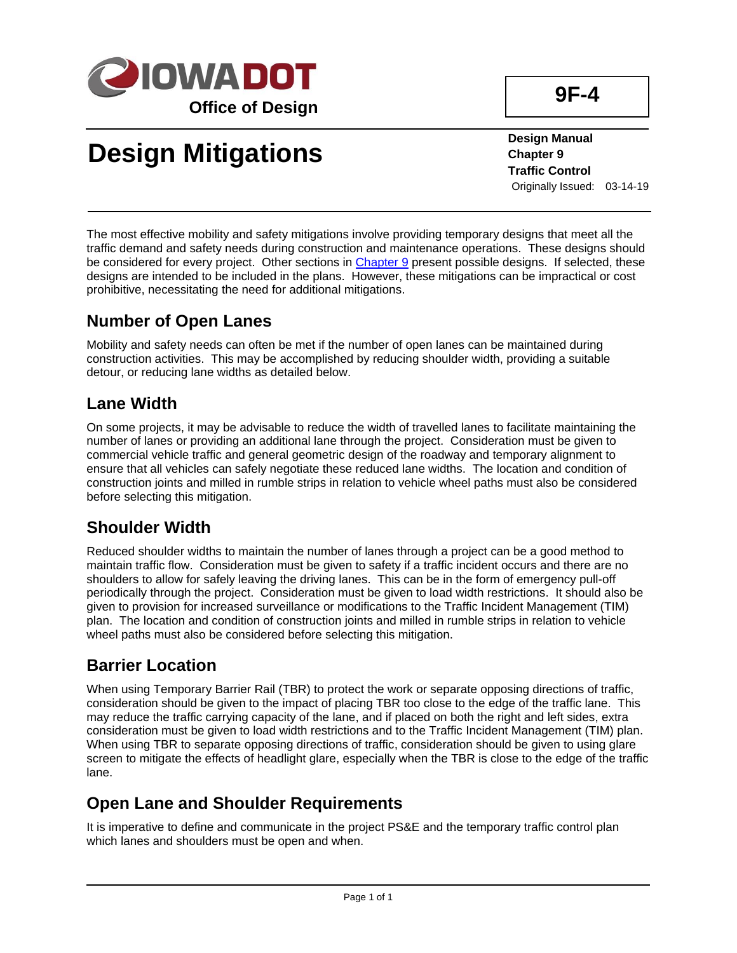

# **Design Mitigations**

**Design Manual Chapter 9 Traffic Control** Originally Issued: 03-14-19

The most effective mobility and safety mitigations involve providing temporary designs that meet all the traffic demand and safety needs during construction and maintenance operations. These designs should be considered for every project. Other sections in [Chapter 9](../design-manual) present possible designs. If selected, these designs are intended to be included in the plans. However, these mitigations can be impractical or cost prohibitive, necessitating the need for additional mitigations.

#### **Number of Open Lanes**

Mobility and safety needs can often be met if the number of open lanes can be maintained during construction activities. This may be accomplished by reducing shoulder width, providing a suitable detour, or reducing lane widths as detailed below.

#### **Lane Width**

On some projects, it may be advisable to reduce the width of travelled lanes to facilitate maintaining the number of lanes or providing an additional lane through the project. Consideration must be given to commercial vehicle traffic and general geometric design of the roadway and temporary alignment to ensure that all vehicles can safely negotiate these reduced lane widths. The location and condition of construction joints and milled in rumble strips in relation to vehicle wheel paths must also be considered before selecting this mitigation.

## **Shoulder Width**

Reduced shoulder widths to maintain the number of lanes through a project can be a good method to maintain traffic flow. Consideration must be given to safety if a traffic incident occurs and there are no shoulders to allow for safely leaving the driving lanes. This can be in the form of emergency pull-off periodically through the project. Consideration must be given to load width restrictions. It should also be given to provision for increased surveillance or modifications to the Traffic Incident Management (TIM) plan. The location and condition of construction joints and milled in rumble strips in relation to vehicle wheel paths must also be considered before selecting this mitigation.

## **Barrier Location**

When using Temporary Barrier Rail (TBR) to protect the work or separate opposing directions of traffic, consideration should be given to the impact of placing TBR too close to the edge of the traffic lane. This may reduce the traffic carrying capacity of the lane, and if placed on both the right and left sides, extra consideration must be given to load width restrictions and to the Traffic Incident Management (TIM) plan. When using TBR to separate opposing directions of traffic, consideration should be given to using glare screen to mitigate the effects of headlight glare, especially when the TBR is close to the edge of the traffic lane.

## **Open Lane and Shoulder Requirements**

It is imperative to define and communicate in the project PS&E and the temporary traffic control plan which lanes and shoulders must be open and when.